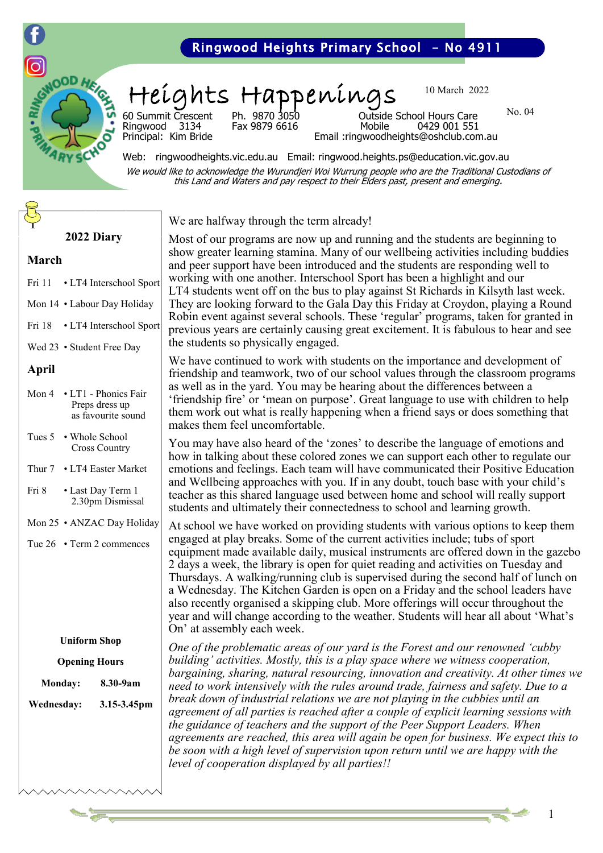

## Ringwood Heights Primary School - No 4911

# Heights Happenings

Fax 9879 6616

We are halfway through the term already!

10 March 2022

No. 04

60 Summit Crescent Ph. 9870 3050 Outside School Hours Care Principal: Kim Bride Email :ringwoodheights@oshclub.com.au

Web: ringwoodheights.vic.edu.au Email: ringwood.heights.ps@education.vic.gov.au We would like to acknowledge the Wurundjeri Woi Wurrung people who are the Traditional Custodians of this Land and Waters and pay respect to their Elders past, present and emerging.

## **2022 Diary**

#### **March**

- Fri 11 LT4 Interschool Sport
- Mon 14 Labour Day Holiday
- Fri 18 LT4 Interschool Sport
- Wed 23 Student Free Day

#### **April**

| Mon $4 \cdot$ I.T1 - Phonics Fair<br>Preps dress up<br>as favourite sound |
|---------------------------------------------------------------------------|
| Tues 5 • Whole School<br><b>Cross Country</b>                             |

- Thur 7 LT4 Easter Market
- Fri 8 Last Day Term 1 2.30pm Dismissal
- Mon 25 ANZAC Day Holiday
- Tue 26 Term 2 commences

#### **Uniform Shop**

| <b>Opening Hours</b> |          |  |
|----------------------|----------|--|
| <b>Monday:</b>       | 8.30-9am |  |

**Wednesday: 3.15-3.45pm**

Most of our programs are now up and running and the students are beginning to show greater learning stamina. Many of our wellbeing activities including buddies and peer support have been introduced and the students are responding well to working with one another. Interschool Sport has been a highlight and our LT4 students went off on the bus to play against St Richards in Kilsyth last week. They are looking forward to the Gala Day this Friday at Croydon, playing a Round Robin event against several schools. These 'regular' programs, taken for granted in previous years are certainly causing great excitement. It is fabulous to hear and see the students so physically engaged.

We have continued to work with students on the importance and development of friendship and teamwork, two of our school values through the classroom programs as well as in the yard. You may be hearing about the differences between a 'friendship fire' or 'mean on purpose'. Great language to use with children to help them work out what is really happening when a friend says or does something that makes them feel uncomfortable.

You may have also heard of the 'zones' to describe the language of emotions and how in talking about these colored zones we can support each other to regulate our emotions and feelings. Each team will have communicated their Positive Education and Wellbeing approaches with you. If in any doubt, touch base with your child's teacher as this shared language used between home and school will really support students and ultimately their connectedness to school and learning growth.

At school we have worked on providing students with various options to keep them engaged at play breaks. Some of the current activities include; tubs of sport equipment made available daily, musical instruments are offered down in the gazebo 2 days a week, the library is open for quiet reading and activities on Tuesday and Thursdays. A walking/running club is supervised during the second half of lunch on a Wednesday. The Kitchen Garden is open on a Friday and the school leaders have also recently organised a skipping club. More offerings will occur throughout the year and will change according to the weather. Students will hear all about 'What's On' at assembly each week.

*One of the problematic areas of our yard is the Forest and our renowned 'cubby building' activities. Mostly, this is a play space where we witness cooperation, bargaining, sharing, natural resourcing, innovation and creativity. At other times we need to work intensively with the rules around trade, fairness and safety. Due to a break down of industrial relations we are not playing in the cubbies until an agreement of all parties is reached after a couple of explicit learning sessions with the guidance of teachers and the support of the Peer Support Leaders. When agreements are reached, this area will again be open for business. We expect this to be soon with a high level of supervision upon return until we are happy with the level of cooperation displayed by all parties!!* 

1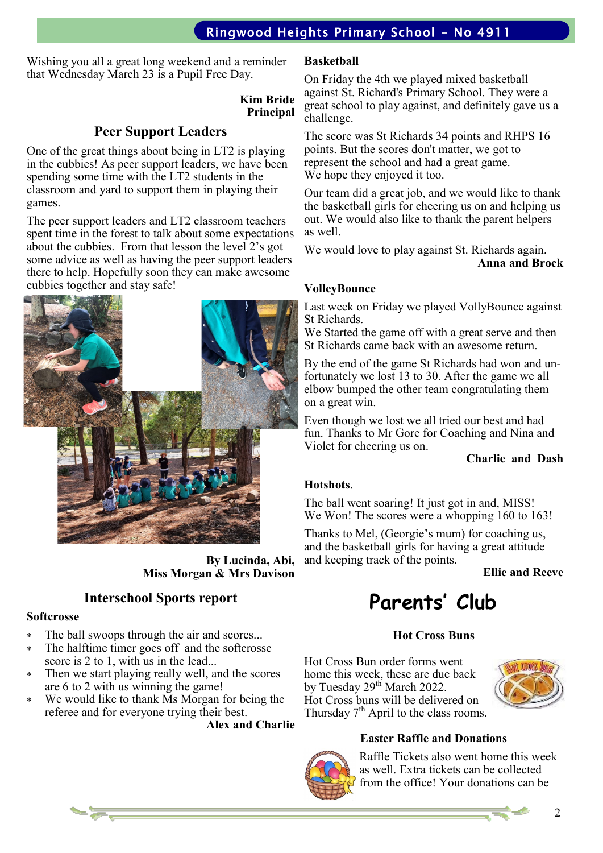# Ringwood Heights Primary School - No 4911

Wishing you all a great long weekend and a reminder that Wednesday March 23 is a Pupil Free Day.

### **Kim Bride Principal**

## **Peer Support Leaders**

One of the great things about being in LT2 is playing in the cubbies! As peer support leaders, we have been spending some time with the LT2 students in the classroom and yard to support them in playing their games.

The peer support leaders and LT2 classroom teachers spent time in the forest to talk about some expectations about the cubbies. From that lesson the level 2's got some advice as well as having the peer support leaders there to help. Hopefully soon they can make awesome cubbies together and stay safe!



**By Lucinda, Abi, Miss Morgan & Mrs Davison**

## **Interschool Sports report**

#### **Softcrosse**

- \* The ball swoops through the air and scores...
- The halftime timer goes off and the softcrosse score is 2 to 1, with us in the lead...
- Then we start playing really well, and the scores are 6 to 2 with us winning the game!
- We would like to thank Ms Morgan for being the referee and for everyone trying their best.

**Alex and Charlie**

#### **Basketball**

On Friday the 4th we played mixed basketball against St. Richard's Primary School. They were a great school to play against, and definitely gave us a challenge.

The score was St Richards 34 points and RHPS 16 points. But the scores don't matter, we got to represent the school and had a great game. We hope they enjoyed it too.

Our team did a great job, and we would like to thank the basketball girls for cheering us on and helping us out. We would also like to thank the parent helpers as well.

We would love to play against St. Richards again. **Anna and Brock**

#### **VolleyBounce**

Last week on Friday we played VollyBounce against St Richards.

We Started the game off with a great serve and then St Richards came back with an awesome return.

By the end of the game St Richards had won and unfortunately we lost 13 to 30. After the game we all elbow bumped the other team congratulating them on a great win.

Even though we lost we all tried our best and had fun. Thanks to Mr Gore for Coaching and Nina and Violet for cheering us on.

#### **Charlie and Dash**

#### **Hotshots**.

The ball went soaring! It just got in and, MISS! We Won! The scores were a whopping 160 to 163!

Thanks to Mel, (Georgie's mum) for coaching us, and the basketball girls for having a great attitude and keeping track of the points.

**Ellie and Reeve**

# **Parents' Club**

## **Hot Cross Buns**

Hot Cross Bun order forms went home this week, these are due back by Tuesday 29<sup>th</sup> March 2022. Hot Cross buns will be delivered on Thursday  $7<sup>th</sup>$  April to the class rooms.



## **Easter Raffle and Donations**



Raffle Tickets also went home this week as well. Extra tickets can be collected from the office! Your donations can be